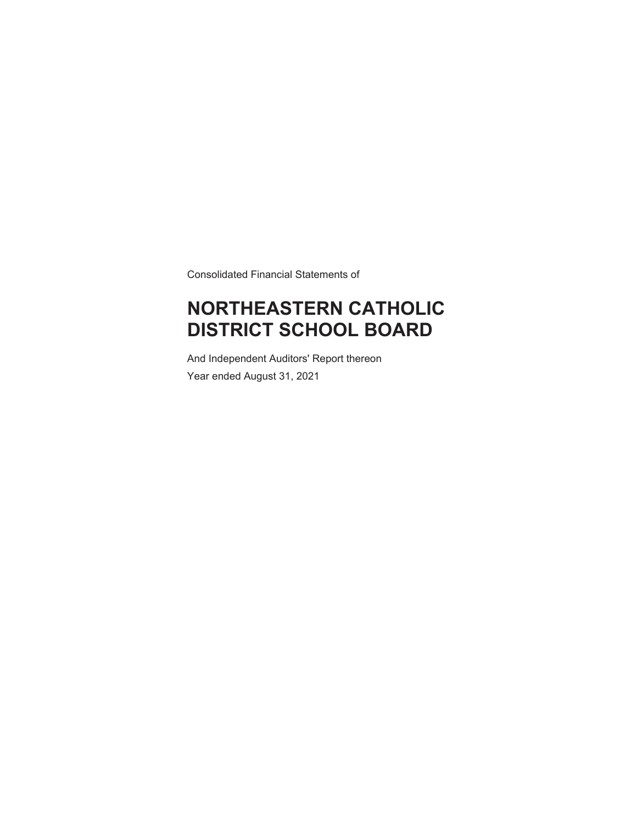Consolidated Financial Statements of

# **NORTHEASTERN CATHOLIC DISTRICT SCHOOL BOARD**

And Independent Auditors' Report thereon Year ended August 31, 2021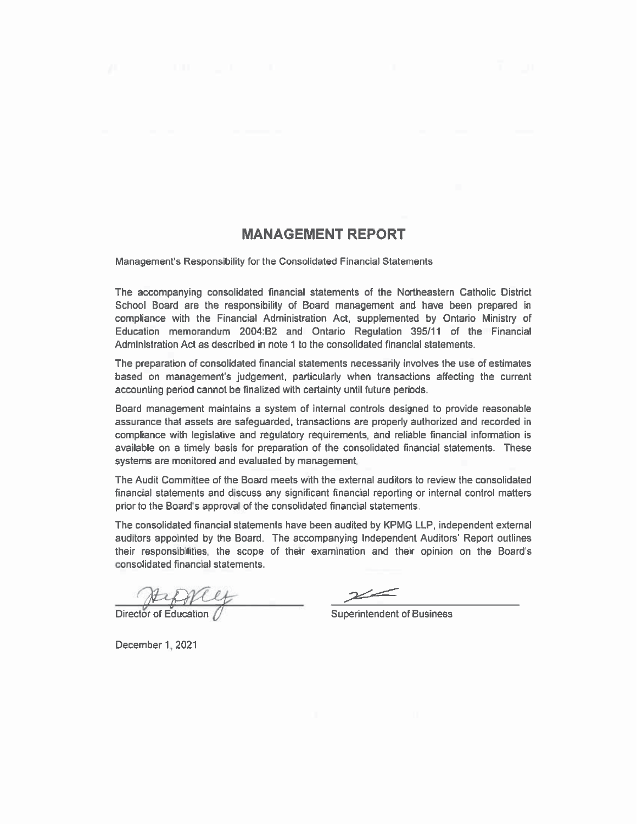### **MANAGEMENT REPORT**

Management's Responsibility for the Consolidated Financial Statements

The accompanying consolidated financial statements of the Northeastern Catholic District School Board are the responsibility of Board management and have been prepared in compliance with the Financial Administration Act, supplemented by Ontario Ministry of Education memorandum 2004:B2 and Ontario Regulation 395/11 of the Financial Administration Act as described in note 1 to the consolidated financial statements.

The preparation of consolidated financial statements necessarily involves the use of estimates based on management's judgement, particularly when transactions affecting the current accounting period cannot be finalized with certainty until future periods.

Board management maintains a system of internal controls designed to provide reasonable assurance that assets are safeguarded, transactions are properly authorized and recorded in compliance with legislative and regulatory requirements, and reliable financial information is available on a timely basis for preparation of the consolidated financial statements. These systems are monitored and evaluated by management.

The Audit Committee of the Board meets with the external auditors to review the consolidated financial statements and discuss any significant financial reporting or internal control matters prior to the Board's approval of the consolidated financial statements.

The consolidated financial statements have been audited by KPMG LLP, independent external auditors appointed by the Board. The accompanying Independent Auditors' Report outlines their responsibilities, the scope of their examination and their opinion on the Board's consolidated financial statements.

Director of Education

**Superintendent of Business** 

December 1, 2021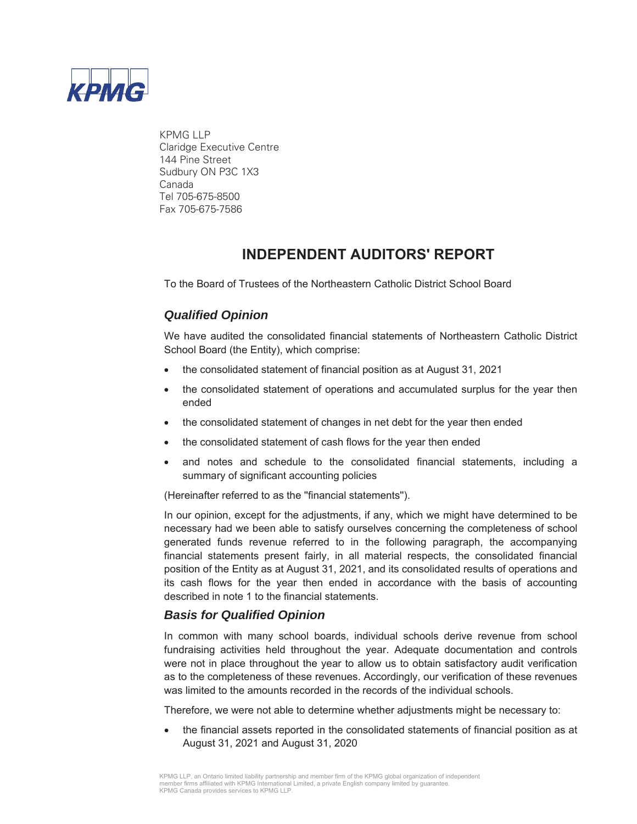

KPMG LLP Claridge Executive Centre 144 Pine Street Sudbury ON P3C 1X3 Canada Tel 705-675-8500 Fax 705-675-7586

### **INDEPENDENT AUDITORS' REPORT**

To the Board of Trustees of the Northeastern Catholic District School Board

### *Qualified Opinion*

We have audited the consolidated financial statements of Northeastern Catholic District School Board (the Entity), which comprise:

- the consolidated statement of financial position as at August 31, 2021
- the consolidated statement of operations and accumulated surplus for the year then ended
- the consolidated statement of changes in net debt for the year then ended
- the consolidated statement of cash flows for the year then ended
- and notes and schedule to the consolidated financial statements, including a summary of significant accounting policies

(Hereinafter referred to as the ''financial statements'').

In our opinion, except for the adjustments, if any, which we might have determined to be necessary had we been able to satisfy ourselves concerning the completeness of school generated funds revenue referred to in the following paragraph, the accompanying financial statements present fairly, in all material respects, the consolidated financial position of the Entity as at August 31, 2021, and its consolidated results of operations and its cash flows for the year then ended in accordance with the basis of accounting described in note 1 to the financial statements.

### *Basis for Qualified Opinion*

In common with many school boards, individual schools derive revenue from school fundraising activities held throughout the year. Adequate documentation and controls were not in place throughout the year to allow us to obtain satisfactory audit verification as to the completeness of these revenues. Accordingly, our verification of these revenues was limited to the amounts recorded in the records of the individual schools.

Therefore, we were not able to determine whether adjustments might be necessary to:

• the financial assets reported in the consolidated statements of financial position as at August 31, 2021 and August 31, 2020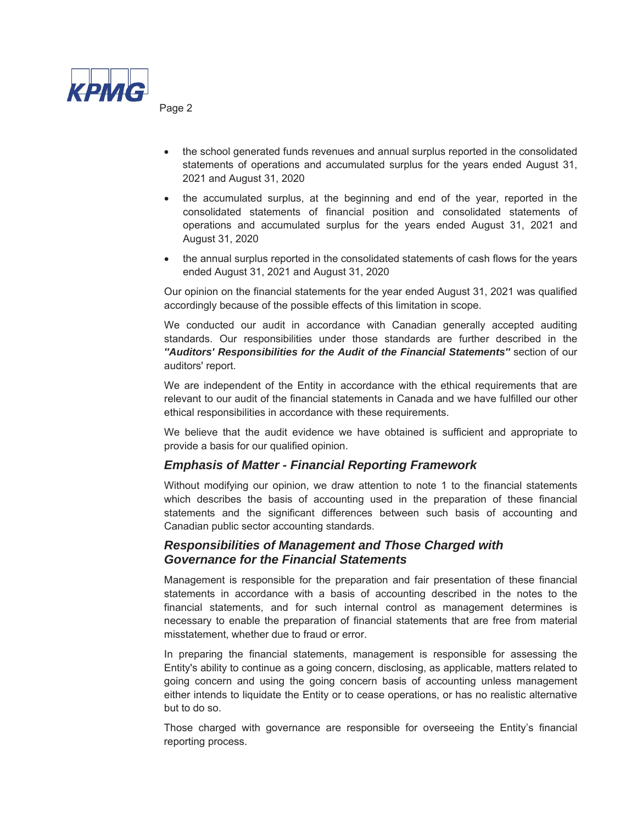

Page 2

- the school generated funds revenues and annual surplus reported in the consolidated statements of operations and accumulated surplus for the years ended August 31, 2021 and August 31, 2020
- the accumulated surplus, at the beginning and end of the year, reported in the consolidated statements of financial position and consolidated statements of operations and accumulated surplus for the years ended August 31, 2021 and August 31, 2020
- the annual surplus reported in the consolidated statements of cash flows for the years ended August 31, 2021 and August 31, 2020

Our opinion on the financial statements for the year ended August 31, 2021 was qualified accordingly because of the possible effects of this limitation in scope.

We conducted our audit in accordance with Canadian generally accepted auditing standards. Our responsibilities under those standards are further described in the *''Auditors' Responsibilities for the Audit of the Financial Statements''* section of our auditors' report.

We are independent of the Entity in accordance with the ethical requirements that are relevant to our audit of the financial statements in Canada and we have fulfilled our other ethical responsibilities in accordance with these requirements.

We believe that the audit evidence we have obtained is sufficient and appropriate to provide a basis for our qualified opinion.

### *Emphasis of Matter - Financial Reporting Framework*

Without modifying our opinion, we draw attention to note 1 to the financial statements which describes the basis of accounting used in the preparation of these financial statements and the significant differences between such basis of accounting and Canadian public sector accounting standards.

### *Responsibilities of Management and Those Charged with Governance for the Financial Statements*

Management is responsible for the preparation and fair presentation of these financial statements in accordance with a basis of accounting described in the notes to the financial statements, and for such internal control as management determines is necessary to enable the preparation of financial statements that are free from material misstatement, whether due to fraud or error.

In preparing the financial statements, management is responsible for assessing the Entity's ability to continue as a going concern, disclosing, as applicable, matters related to going concern and using the going concern basis of accounting unless management either intends to liquidate the Entity or to cease operations, or has no realistic alternative but to do so.

Those charged with governance are responsible for overseeing the Entity's financial reporting process.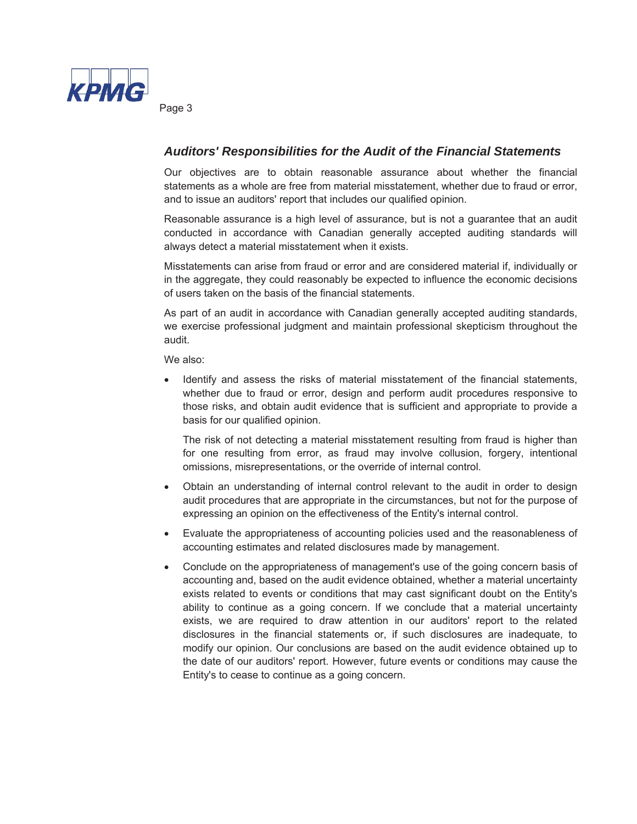

Page 3

### *Auditors' Responsibilities for the Audit of the Financial Statements*

Our objectives are to obtain reasonable assurance about whether the financial statements as a whole are free from material misstatement, whether due to fraud or error, and to issue an auditors' report that includes our qualified opinion.

Reasonable assurance is a high level of assurance, but is not a guarantee that an audit conducted in accordance with Canadian generally accepted auditing standards will always detect a material misstatement when it exists.

Misstatements can arise from fraud or error and are considered material if, individually or in the aggregate, they could reasonably be expected to influence the economic decisions of users taken on the basis of the financial statements.

As part of an audit in accordance with Canadian generally accepted auditing standards, we exercise professional judgment and maintain professional skepticism throughout the audit.

We also:

• Identify and assess the risks of material misstatement of the financial statements, whether due to fraud or error, design and perform audit procedures responsive to those risks, and obtain audit evidence that is sufficient and appropriate to provide a basis for our qualified opinion.

The risk of not detecting a material misstatement resulting from fraud is higher than for one resulting from error, as fraud may involve collusion, forgery, intentional omissions, misrepresentations, or the override of internal control.

- Obtain an understanding of internal control relevant to the audit in order to design audit procedures that are appropriate in the circumstances, but not for the purpose of expressing an opinion on the effectiveness of the Entity's internal control.
- Evaluate the appropriateness of accounting policies used and the reasonableness of accounting estimates and related disclosures made by management.
- Conclude on the appropriateness of management's use of the going concern basis of accounting and, based on the audit evidence obtained, whether a material uncertainty exists related to events or conditions that may cast significant doubt on the Entity's ability to continue as a going concern. If we conclude that a material uncertainty exists, we are required to draw attention in our auditors' report to the related disclosures in the financial statements or, if such disclosures are inadequate, to modify our opinion. Our conclusions are based on the audit evidence obtained up to the date of our auditors' report. However, future events or conditions may cause the Entity's to cease to continue as a going concern.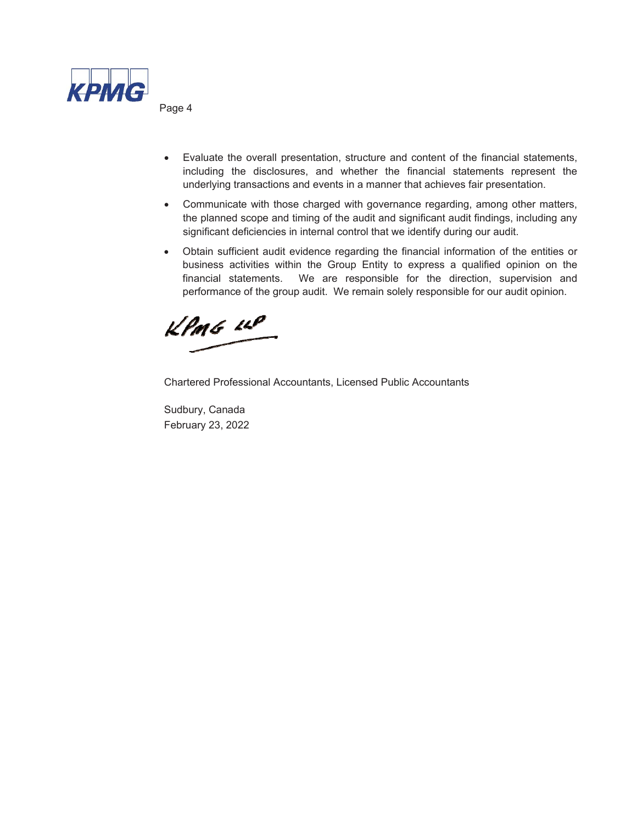

Page 4

- Evaluate the overall presentation, structure and content of the financial statements, including the disclosures, and whether the financial statements represent the underlying transactions and events in a manner that achieves fair presentation.
- Communicate with those charged with governance regarding, among other matters, the planned scope and timing of the audit and significant audit findings, including any significant deficiencies in internal control that we identify during our audit.
- Obtain sufficient audit evidence regarding the financial information of the entities or business activities within the Group Entity to express a qualified opinion on the financial statements. We are responsible for the direction, supervision and performance of the group audit. We remain solely responsible for our audit opinion.

 $k$ *PmG*  $\mu$ 

Chartered Professional Accountants, Licensed Public Accountants

Sudbury, Canada February 23, 2022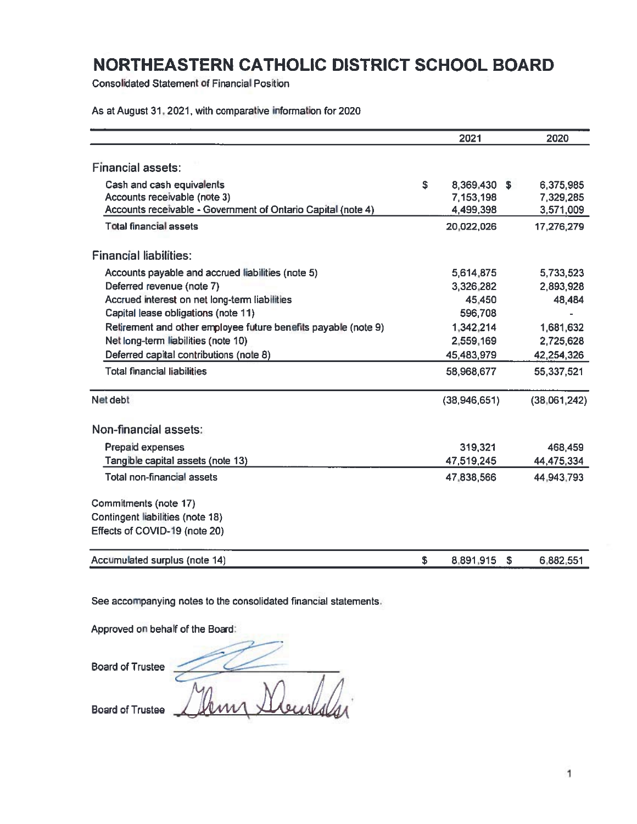**Consolidated Statement of Financial Position** 

As at August 31, 2021, with comparative information for 2020

|                                                                | 2021                  | 2020         |
|----------------------------------------------------------------|-----------------------|--------------|
|                                                                |                       |              |
| <b>Financial assets:</b>                                       |                       |              |
| Cash and cash equivalents                                      | \$<br>8,369,430 \$    | 6,375,985    |
| Accounts receivable (note 3)                                   | 7,153,198             | 7,329,285    |
| Accounts receivable - Government of Ontario Capital (note 4)   | 4,499,398             | 3,571,009    |
| <b>Total financial assets</b>                                  | 20,022,026            | 17,276,279   |
| <b>Financial liabilities:</b>                                  |                       |              |
| Accounts payable and accrued liabilities (note 5)              | 5,614,875             | 5,733,523    |
| Deferred revenue (note 7)                                      | 3,326,282             | 2,893,928    |
| Accrued interest on net long-term liabilities                  | 45,450                | 48,484       |
| Capital lease obligations (note 11)                            | 596,708               |              |
| Retirement and other employee future benefits payable (note 9) | 1,342,214             | 1,681,632    |
| Net long-term liabilities (note 10)                            | 2,559,169             | 2,725,628    |
| Deferred capital contributions (note 8)                        | 45,483,979            | 42,254,326   |
| <b>Total financial liabilities</b>                             | 58,968,677            | 55,337,521   |
| Net debt                                                       | (38,946,651)          | (38,061,242) |
| Non-financial assets:                                          |                       |              |
| Prepaid expenses                                               | 319,321               | 468,459      |
| Tangible capital assets (note 13)                              | 47,519,245            | 44,475,334   |
| Total non-financial assets                                     | 47,838,566            | 44,943,793   |
| Commitments (note 17)                                          |                       |              |
| Contingent liabilities (note 18)                               |                       |              |
| Effects of COVID-19 (note 20)                                  |                       |              |
| Accumulated surplus (note 14)                                  | \$<br>8,891,915<br>\$ | 6,882,551    |

See accompanying notes to the consolidated financial statements.

Approved on behalf of the Board:

**Board of Trustee** 

**Board of Trustee**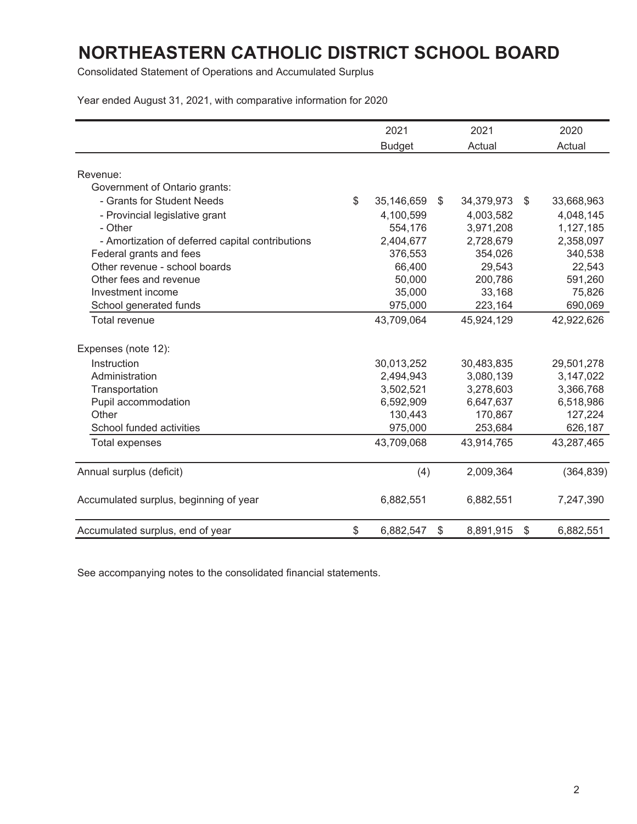Consolidated Statement of Operations and Accumulated Surplus

Year ended August 31, 2021, with comparative information for 2020

|                                                  | 2021             | 2021             | 2020             |
|--------------------------------------------------|------------------|------------------|------------------|
|                                                  | <b>Budget</b>    | Actual           | Actual           |
|                                                  |                  |                  |                  |
| Revenue:                                         |                  |                  |                  |
| Government of Ontario grants:                    |                  |                  |                  |
| - Grants for Student Needs                       | \$<br>35,146,659 | \$<br>34,379,973 | \$<br>33,668,963 |
| - Provincial legislative grant                   | 4,100,599        | 4,003,582        | 4,048,145        |
| - Other                                          | 554,176          | 3,971,208        | 1,127,185        |
| - Amortization of deferred capital contributions | 2,404,677        | 2,728,679        | 2,358,097        |
| Federal grants and fees                          | 376,553          | 354,026          | 340,538          |
| Other revenue - school boards                    | 66,400           | 29,543           | 22,543           |
| Other fees and revenue                           | 50,000           | 200,786          | 591,260          |
| Investment income                                | 35,000           | 33,168           | 75,826           |
| School generated funds                           | 975,000          | 223,164          | 690,069          |
| <b>Total revenue</b>                             | 43,709,064       | 45,924,129       | 42,922,626       |
| Expenses (note 12):                              |                  |                  |                  |
| Instruction                                      | 30,013,252       | 30,483,835       | 29,501,278       |
| Administration                                   | 2,494,943        | 3,080,139        | 3,147,022        |
| Transportation                                   | 3,502,521        | 3,278,603        | 3,366,768        |
| Pupil accommodation                              | 6,592,909        | 6,647,637        | 6,518,986        |
| Other                                            | 130,443          | 170,867          | 127,224          |
| School funded activities                         | 975,000          | 253,684          | 626,187          |
| Total expenses                                   | 43,709,068       | 43,914,765       | 43,287,465       |
| Annual surplus (deficit)                         | (4)              | 2,009,364        | (364, 839)       |
| Accumulated surplus, beginning of year           | 6,882,551        | 6,882,551        | 7,247,390        |
| Accumulated surplus, end of year                 | \$<br>6,882,547  | \$<br>8,891,915  | \$<br>6,882,551  |

See accompanying notes to the consolidated financial statements.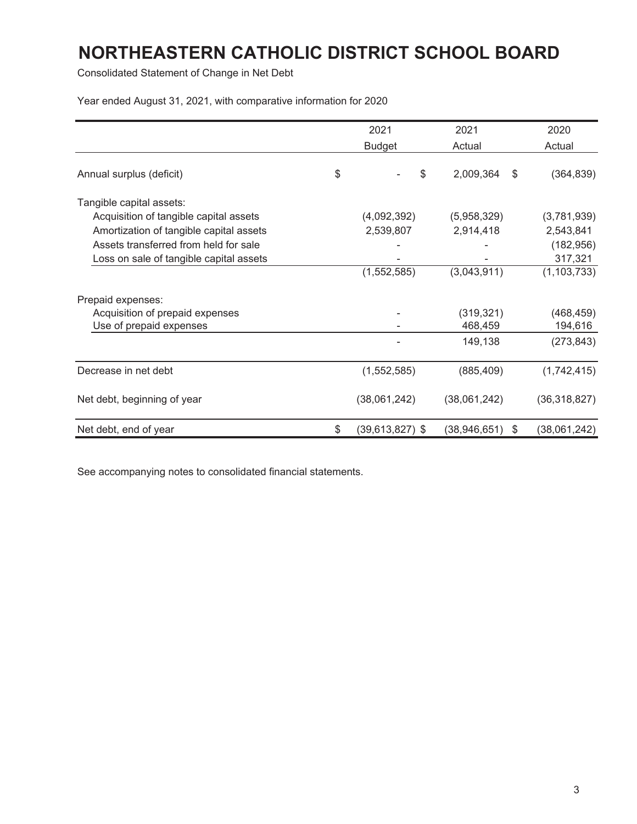Consolidated Statement of Change in Net Debt

Year ended August 31, 2021, with comparative information for 2020

|                                         | 2021                    | 2021                 | 2020           |
|-----------------------------------------|-------------------------|----------------------|----------------|
|                                         | <b>Budget</b>           | Actual               | Actual         |
| Annual surplus (deficit)                | \$<br>\$                | 2,009,364<br>\$      | (364, 839)     |
| Tangible capital assets:                |                         |                      |                |
| Acquisition of tangible capital assets  | (4,092,392)             | (5,958,329)          | (3,781,939)    |
| Amortization of tangible capital assets | 2,539,807               | 2,914,418            | 2,543,841      |
| Assets transferred from held for sale   |                         |                      | (182, 956)     |
| Loss on sale of tangible capital assets |                         |                      | 317,321        |
|                                         | (1,552,585)             | (3,043,911)          | (1, 103, 733)  |
| Prepaid expenses:                       |                         |                      |                |
| Acquisition of prepaid expenses         |                         | (319, 321)           | (468, 459)     |
| Use of prepaid expenses                 |                         | 468,459              | 194,616        |
|                                         |                         | 149,138              | (273, 843)     |
| Decrease in net debt                    | (1,552,585)             | (885, 409)           | (1,742,415)    |
| Net debt, beginning of year             | (38,061,242)            | (38,061,242)         | (36, 318, 827) |
| Net debt, end of year                   | \$<br>$(39,613,827)$ \$ | (38, 946, 651)<br>\$ | (38,061,242)   |

See accompanying notes to consolidated financial statements.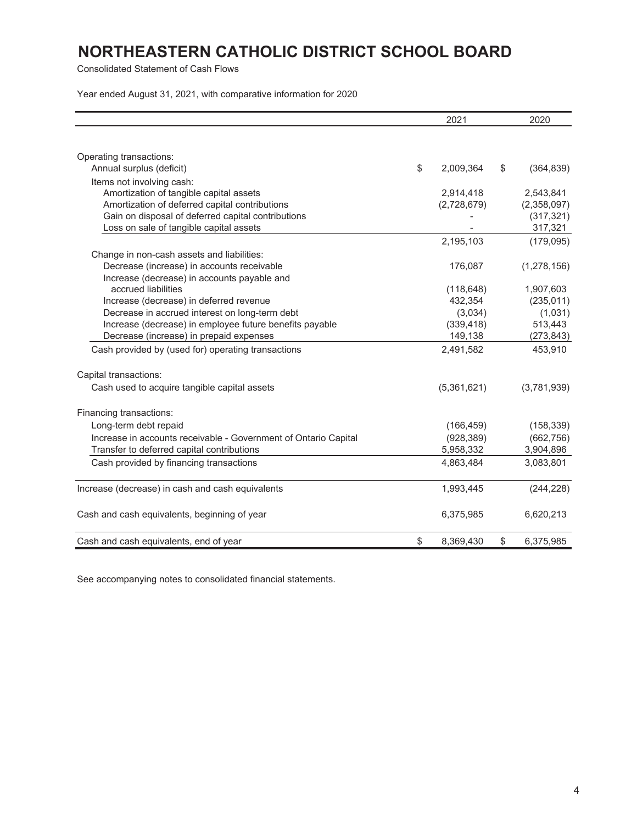Consolidated Statement of Cash Flows

Year ended August 31, 2021, with comparative information for 2020

|                                                                 | 2021            | 2020                  |
|-----------------------------------------------------------------|-----------------|-----------------------|
|                                                                 |                 |                       |
| Operating transactions:                                         |                 |                       |
| Annual surplus (deficit)                                        | \$<br>2,009,364 | \$<br>(364, 839)      |
| Items not involving cash:                                       |                 |                       |
| Amortization of tangible capital assets                         | 2,914,418       | 2,543,841             |
| Amortization of deferred capital contributions                  | (2,728,679)     | (2,358,097)           |
| Gain on disposal of deferred capital contributions              |                 |                       |
| Loss on sale of tangible capital assets                         |                 | (317, 321)<br>317,321 |
|                                                                 |                 |                       |
|                                                                 | 2,195,103       | (179, 095)            |
| Change in non-cash assets and liabilities:                      |                 |                       |
| Decrease (increase) in accounts receivable                      | 176,087         | (1, 278, 156)         |
| Increase (decrease) in accounts payable and                     |                 |                       |
| accrued liabilities                                             | (118, 648)      | 1,907,603             |
| Increase (decrease) in deferred revenue                         | 432,354         | (235, 011)            |
| Decrease in accrued interest on long-term debt                  | (3,034)         | (1,031)               |
| Increase (decrease) in employee future benefits payable         | (339, 418)      | 513,443               |
| Decrease (increase) in prepaid expenses                         | 149,138         | (273, 843)            |
| Cash provided by (used for) operating transactions              | 2,491,582       | 453,910               |
| Capital transactions:                                           |                 |                       |
| Cash used to acquire tangible capital assets                    | (5,361,621)     | (3,781,939)           |
| Financing transactions:                                         |                 |                       |
| Long-term debt repaid                                           | (166, 459)      | (158, 339)            |
| Increase in accounts receivable - Government of Ontario Capital | (928, 389)      | (662, 756)            |
| Transfer to deferred capital contributions                      | 5,958,332       | 3,904,896             |
| Cash provided by financing transactions                         | 4,863,484       | 3,083,801             |
|                                                                 |                 |                       |
| Increase (decrease) in cash and cash equivalents                | 1,993,445       | (244, 228)            |
| Cash and cash equivalents, beginning of year                    | 6,375,985       | 6,620,213             |
| Cash and cash equivalents, end of year                          | \$<br>8,369,430 | \$<br>6,375,985       |

See accompanying notes to consolidated financial statements.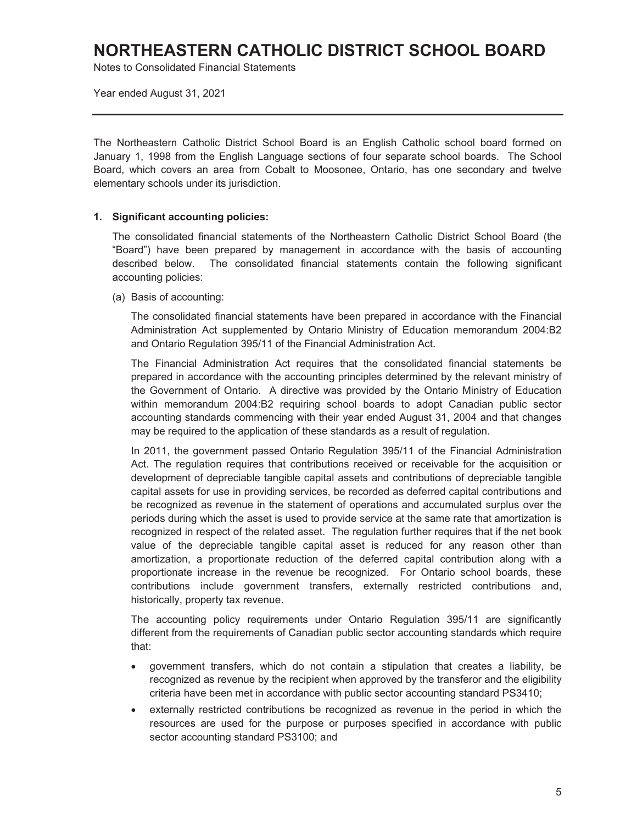Notes to Consolidated Financial Statements

Year ended August 31, 2021

The Northeastern Catholic District School Board is an English Catholic school board formed on January 1, 1998 from the English Language sections of four separate school boards. The School Board, which covers an area from Cobalt to Moosonee, Ontario, has one secondary and twelve elementary schools under its jurisdiction.

### **1. Significant accounting policies:**

The consolidated financial statements of the Northeastern Catholic District School Board (the "Board") have been prepared by management in accordance with the basis of accounting described below. The consolidated financial statements contain the following significant accounting policies:

(a) Basis of accounting:

The consolidated financial statements have been prepared in accordance with the Financial Administration Act supplemented by Ontario Ministry of Education memorandum 2004:B2 and Ontario Regulation 395/11 of the Financial Administration Act.

The Financial Administration Act requires that the consolidated financial statements be prepared in accordance with the accounting principles determined by the relevant ministry of the Government of Ontario. A directive was provided by the Ontario Ministry of Education within memorandum 2004:B2 requiring school boards to adopt Canadian public sector accounting standards commencing with their year ended August 31, 2004 and that changes may be required to the application of these standards as a result of regulation.

In 2011, the government passed Ontario Regulation 395/11 of the Financial Administration Act. The regulation requires that contributions received or receivable for the acquisition or development of depreciable tangible capital assets and contributions of depreciable tangible capital assets for use in providing services, be recorded as deferred capital contributions and be recognized as revenue in the statement of operations and accumulated surplus over the periods during which the asset is used to provide service at the same rate that amortization is recognized in respect of the related asset. The regulation further requires that if the net book value of the depreciable tangible capital asset is reduced for any reason other than amortization, a proportionate reduction of the deferred capital contribution along with a proportionate increase in the revenue be recognized. For Ontario school boards, these contributions include government transfers, externally restricted contributions and, historically, property tax revenue.

The accounting policy requirements under Ontario Regulation 395/11 are significantly different from the requirements of Canadian public sector accounting standards which require that:

- x government transfers, which do not contain a stipulation that creates a liability, be recognized as revenue by the recipient when approved by the transferor and the eligibility criteria have been met in accordance with public sector accounting standard PS3410;
- externally restricted contributions be recognized as revenue in the period in which the resources are used for the purpose or purposes specified in accordance with public sector accounting standard PS3100; and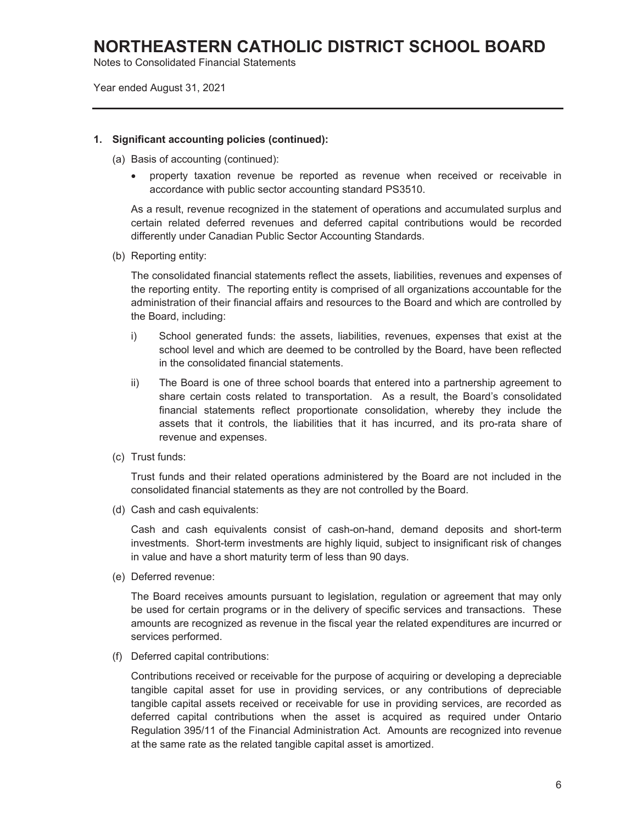Notes to Consolidated Financial Statements

Year ended August 31, 2021

#### **1. Significant accounting policies (continued):**

- (a) Basis of accounting (continued):
	- property taxation revenue be reported as revenue when received or receivable in accordance with public sector accounting standard PS3510.

As a result, revenue recognized in the statement of operations and accumulated surplus and certain related deferred revenues and deferred capital contributions would be recorded differently under Canadian Public Sector Accounting Standards.

(b) Reporting entity:

The consolidated financial statements reflect the assets, liabilities, revenues and expenses of the reporting entity. The reporting entity is comprised of all organizations accountable for the administration of their financial affairs and resources to the Board and which are controlled by the Board, including:

- i) School generated funds: the assets, liabilities, revenues, expenses that exist at the school level and which are deemed to be controlled by the Board, have been reflected in the consolidated financial statements.
- ii) The Board is one of three school boards that entered into a partnership agreement to share certain costs related to transportation. As a result, the Board's consolidated financial statements reflect proportionate consolidation, whereby they include the assets that it controls, the liabilities that it has incurred, and its pro-rata share of revenue and expenses.
- (c) Trust funds:

Trust funds and their related operations administered by the Board are not included in the consolidated financial statements as they are not controlled by the Board.

(d) Cash and cash equivalents:

Cash and cash equivalents consist of cash-on-hand, demand deposits and short-term investments. Short-term investments are highly liquid, subject to insignificant risk of changes in value and have a short maturity term of less than 90 days.

(e) Deferred revenue:

The Board receives amounts pursuant to legislation, regulation or agreement that may only be used for certain programs or in the delivery of specific services and transactions. These amounts are recognized as revenue in the fiscal year the related expenditures are incurred or services performed.

(f) Deferred capital contributions:

Contributions received or receivable for the purpose of acquiring or developing a depreciable tangible capital asset for use in providing services, or any contributions of depreciable tangible capital assets received or receivable for use in providing services, are recorded as deferred capital contributions when the asset is acquired as required under Ontario Regulation 395/11 of the Financial Administration Act. Amounts are recognized into revenue at the same rate as the related tangible capital asset is amortized.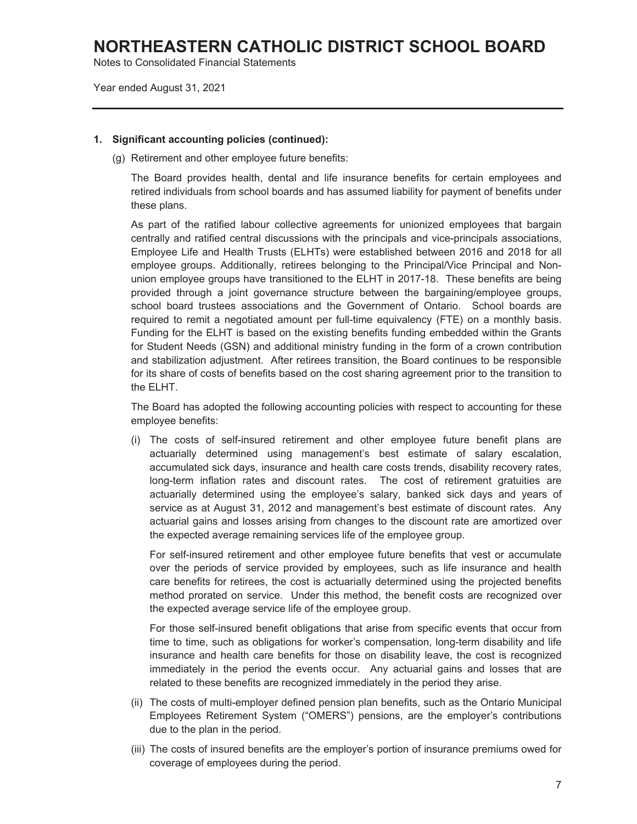Notes to Consolidated Financial Statements

Year ended August 31, 2021

#### **1. Significant accounting policies (continued):**

(g) Retirement and other employee future benefits:

The Board provides health, dental and life insurance benefits for certain employees and retired individuals from school boards and has assumed liability for payment of benefits under these plans.

As part of the ratified labour collective agreements for unionized employees that bargain centrally and ratified central discussions with the principals and vice-principals associations, Employee Life and Health Trusts (ELHTs) were established between 2016 and 2018 for all employee groups. Additionally, retirees belonging to the Principal/Vice Principal and Nonunion employee groups have transitioned to the ELHT in 2017-18. These benefits are being provided through a joint governance structure between the bargaining/employee groups, school board trustees associations and the Government of Ontario. School boards are required to remit a negotiated amount per full-time equivalency (FTE) on a monthly basis. Funding for the ELHT is based on the existing benefits funding embedded within the Grants for Student Needs (GSN) and additional ministry funding in the form of a crown contribution and stabilization adjustment. After retirees transition, the Board continues to be responsible for its share of costs of benefits based on the cost sharing agreement prior to the transition to the ELHT.

The Board has adopted the following accounting policies with respect to accounting for these employee benefits:

(i) The costs of self-insured retirement and other employee future benefit plans are actuarially determined using management's best estimate of salary escalation, accumulated sick days, insurance and health care costs trends, disability recovery rates, long-term inflation rates and discount rates. The cost of retirement gratuities are actuarially determined using the employee's salary, banked sick days and years of service as at August 31, 2012 and management's best estimate of discount rates. Any actuarial gains and losses arising from changes to the discount rate are amortized over the expected average remaining services life of the employee group.

For self-insured retirement and other employee future benefits that vest or accumulate over the periods of service provided by employees, such as life insurance and health care benefits for retirees, the cost is actuarially determined using the projected benefits method prorated on service. Under this method, the benefit costs are recognized over the expected average service life of the employee group.

For those self-insured benefit obligations that arise from specific events that occur from time to time, such as obligations for worker's compensation, long-term disability and life insurance and health care benefits for those on disability leave, the cost is recognized immediately in the period the events occur. Any actuarial gains and losses that are related to these benefits are recognized immediately in the period they arise.

- (ii) The costs of multi-employer defined pension plan benefits, such as the Ontario Municipal Employees Retirement System ("OMERS") pensions, are the employer's contributions due to the plan in the period.
- (iii) The costs of insured benefits are the employer's portion of insurance premiums owed for coverage of employees during the period.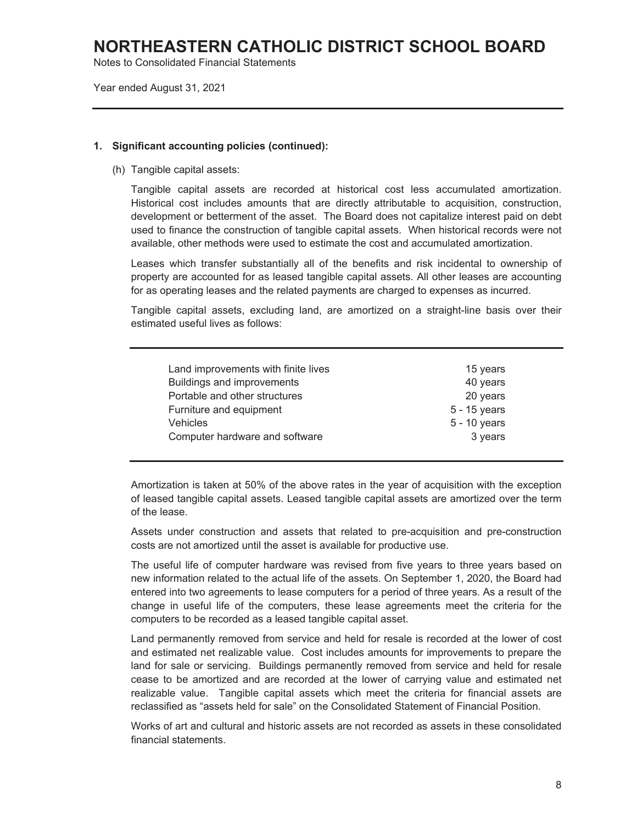Notes to Consolidated Financial Statements

Year ended August 31, 2021

### **1. Significant accounting policies (continued):**

(h) Tangible capital assets:

Tangible capital assets are recorded at historical cost less accumulated amortization. Historical cost includes amounts that are directly attributable to acquisition, construction, development or betterment of the asset. The Board does not capitalize interest paid on debt used to finance the construction of tangible capital assets. When historical records were not available, other methods were used to estimate the cost and accumulated amortization.

Leases which transfer substantially all of the benefits and risk incidental to ownership of property are accounted for as leased tangible capital assets. All other leases are accounting for as operating leases and the related payments are charged to expenses as incurred.

Tangible capital assets, excluding land, are amortized on a straight-line basis over their estimated useful lives as follows:

| Land improvements with finite lives | 15 years     |
|-------------------------------------|--------------|
| Buildings and improvements          | 40 years     |
| Portable and other structures       | 20 years     |
| Furniture and equipment             | 5 - 15 years |
| <b>Vehicles</b>                     | 5 - 10 years |
| Computer hardware and software      | 3 years      |
|                                     |              |

Amortization is taken at 50% of the above rates in the year of acquisition with the exception of leased tangible capital assets. Leased tangible capital assets are amortized over the term of the lease.

Assets under construction and assets that related to pre-acquisition and pre-construction costs are not amortized until the asset is available for productive use.

The useful life of computer hardware was revised from five years to three years based on new information related to the actual life of the assets. On September 1, 2020, the Board had entered into two agreements to lease computers for a period of three years. As a result of the change in useful life of the computers, these lease agreements meet the criteria for the computers to be recorded as a leased tangible capital asset.

Land permanently removed from service and held for resale is recorded at the lower of cost and estimated net realizable value. Cost includes amounts for improvements to prepare the land for sale or servicing. Buildings permanently removed from service and held for resale cease to be amortized and are recorded at the lower of carrying value and estimated net realizable value. Tangible capital assets which meet the criteria for financial assets are reclassified as "assets held for sale" on the Consolidated Statement of Financial Position.

Works of art and cultural and historic assets are not recorded as assets in these consolidated financial statements.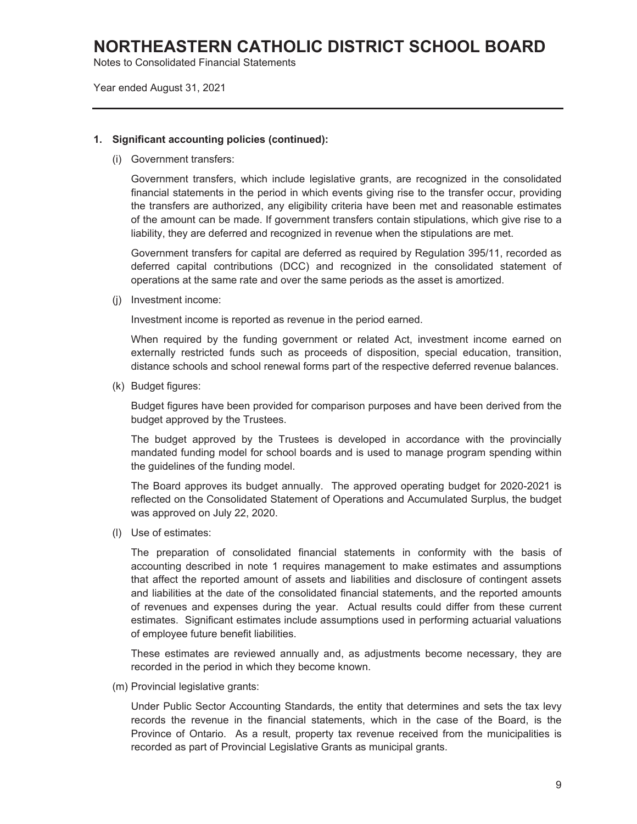Notes to Consolidated Financial Statements

Year ended August 31, 2021

#### **1. Significant accounting policies (continued):**

(i) Government transfers:

Government transfers, which include legislative grants, are recognized in the consolidated financial statements in the period in which events giving rise to the transfer occur, providing the transfers are authorized, any eligibility criteria have been met and reasonable estimates of the amount can be made. If government transfers contain stipulations, which give rise to a liability, they are deferred and recognized in revenue when the stipulations are met.

Government transfers for capital are deferred as required by Regulation 395/11, recorded as deferred capital contributions (DCC) and recognized in the consolidated statement of operations at the same rate and over the same periods as the asset is amortized.

(j) Investment income:

Investment income is reported as revenue in the period earned.

When required by the funding government or related Act, investment income earned on externally restricted funds such as proceeds of disposition, special education, transition, distance schools and school renewal forms part of the respective deferred revenue balances.

(k) Budget figures:

Budget figures have been provided for comparison purposes and have been derived from the budget approved by the Trustees.

The budget approved by the Trustees is developed in accordance with the provincially mandated funding model for school boards and is used to manage program spending within the guidelines of the funding model.

The Board approves its budget annually. The approved operating budget for 2020-2021 is reflected on the Consolidated Statement of Operations and Accumulated Surplus, the budget was approved on July 22, 2020.

(l) Use of estimates:

The preparation of consolidated financial statements in conformity with the basis of accounting described in note 1 requires management to make estimates and assumptions that affect the reported amount of assets and liabilities and disclosure of contingent assets and liabilities at the date of the consolidated financial statements, and the reported amounts of revenues and expenses during the year. Actual results could differ from these current estimates. Significant estimates include assumptions used in performing actuarial valuations of employee future benefit liabilities.

These estimates are reviewed annually and, as adjustments become necessary, they are recorded in the period in which they become known.

(m) Provincial legislative grants:

Under Public Sector Accounting Standards, the entity that determines and sets the tax levy records the revenue in the financial statements, which in the case of the Board, is the Province of Ontario. As a result, property tax revenue received from the municipalities is recorded as part of Provincial Legislative Grants as municipal grants.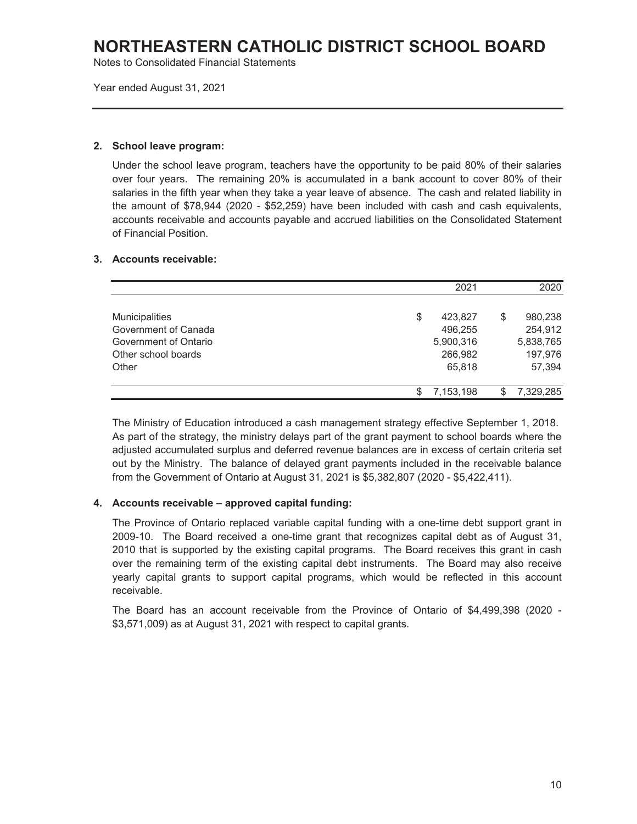Notes to Consolidated Financial Statements

Year ended August 31, 2021

#### **2. School leave program:**

Under the school leave program, teachers have the opportunity to be paid 80% of their salaries over four years. The remaining 20% is accumulated in a bank account to cover 80% of their salaries in the fifth year when they take a year leave of absence. The cash and related liability in the amount of \$78,944 (2020 - \$52,259) have been included with cash and cash equivalents, accounts receivable and accounts payable and accrued liabilities on the Consolidated Statement of Financial Position.

### **3. Accounts receivable:**

|                       | 2021          |   | 2020      |
|-----------------------|---------------|---|-----------|
|                       |               |   |           |
| Municipalities        | \$<br>423.827 | S | 980,238   |
| Government of Canada  | 496,255       |   | 254,912   |
| Government of Ontario | 5,900,316     |   | 5,838,765 |
| Other school boards   | 266,982       |   | 197,976   |
| Other                 | 65,818        |   | 57,394    |
|                       |               |   |           |
|                       | 7,153,198     |   | 7,329,285 |

The Ministry of Education introduced a cash management strategy effective September 1, 2018. As part of the strategy, the ministry delays part of the grant payment to school boards where the adjusted accumulated surplus and deferred revenue balances are in excess of certain criteria set out by the Ministry. The balance of delayed grant payments included in the receivable balance from the Government of Ontario at August 31, 2021 is \$5,382,807 (2020 - \$5,422,411).

### **4. Accounts receivable – approved capital funding:**

The Province of Ontario replaced variable capital funding with a one-time debt support grant in 2009-10. The Board received a one-time grant that recognizes capital debt as of August 31, 2010 that is supported by the existing capital programs. The Board receives this grant in cash over the remaining term of the existing capital debt instruments. The Board may also receive yearly capital grants to support capital programs, which would be reflected in this account receivable.

The Board has an account receivable from the Province of Ontario of \$4,499,398 (2020 - \$3,571,009) as at August 31, 2021 with respect to capital grants.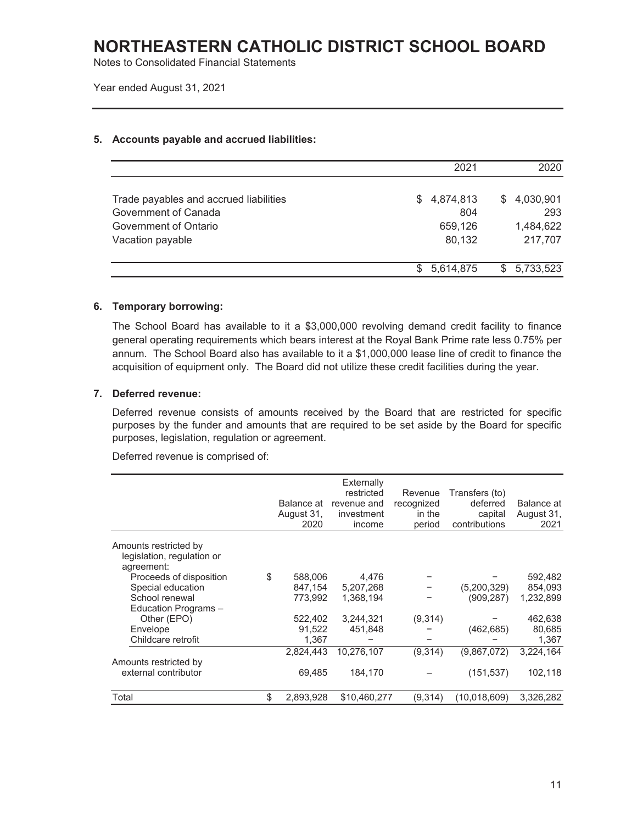Notes to Consolidated Financial Statements

Year ended August 31, 2021

### **5. Accounts payable and accrued liabilities:**

|                                        | 2021            | 2020            |
|----------------------------------------|-----------------|-----------------|
|                                        |                 |                 |
| Trade payables and accrued liabilities | 4,874,813<br>S. | 4,030,901<br>S. |
| Government of Canada                   | 804             | 293             |
| Government of Ontario                  | 659,126         | 1,484,622       |
| Vacation payable                       | 80,132          | 217,707         |
|                                        |                 |                 |
|                                        | 5,614,875<br>S. | 5,733,523<br>£. |

### **6. Temporary borrowing:**

The School Board has available to it a \$3,000,000 revolving demand credit facility to finance general operating requirements which bears interest at the Royal Bank Prime rate less 0.75% per annum. The School Board also has available to it a \$1,000,000 lease line of credit to finance the acquisition of equipment only. The Board did not utilize these credit facilities during the year.

### **7. Deferred revenue:**

Deferred revenue consists of amounts received by the Board that are restricted for specific purposes by the funder and amounts that are required to be set aside by the Board for specific purposes, legislation, regulation or agreement.

Deferred revenue is comprised of:

|                                                                   | Balance at<br>August 31,<br>2020 | Externally<br>restricted<br>revenue and<br>investment<br>income | Revenue<br>recognized<br>in the<br>period | Transfers (to)<br>deferred<br>capital<br>contributions | Balance at<br>August 31,<br>2021 |
|-------------------------------------------------------------------|----------------------------------|-----------------------------------------------------------------|-------------------------------------------|--------------------------------------------------------|----------------------------------|
| Amounts restricted by<br>legislation, regulation or<br>agreement: |                                  |                                                                 |                                           |                                                        |                                  |
| \$<br>Proceeds of disposition                                     | 588,006                          | 4,476                                                           |                                           |                                                        | 592,482                          |
| Special education                                                 | 847,154                          | 5,207,268                                                       |                                           | (5,200,329)                                            | 854,093                          |
| School renewal                                                    | 773,992                          | 1,368,194                                                       |                                           | (909,287)                                              | 1,232,899                        |
| Education Programs -                                              |                                  |                                                                 |                                           |                                                        |                                  |
| Other (EPO)                                                       | 522,402                          | 3,244,321                                                       | (9,314)                                   |                                                        | 462,638                          |
| Envelope                                                          | 91,522                           | 451,848                                                         |                                           | (462, 685)                                             | 80,685                           |
| Childcare retrofit                                                | 1,367                            |                                                                 |                                           |                                                        | 1,367                            |
|                                                                   | 2,824,443                        | 10,276,107                                                      | (9,314)                                   | (9,867,072)                                            | 3,224,164                        |
| Amounts restricted by                                             |                                  |                                                                 |                                           |                                                        |                                  |
| external contributor                                              | 69,485                           | 184,170                                                         |                                           | (151, 537)                                             | 102,118                          |
|                                                                   |                                  |                                                                 |                                           |                                                        |                                  |
| \$<br>Total                                                       | 2,893,928                        | \$10,460,277                                                    | (9,314)                                   | (10,018,609)                                           | 3,326,282                        |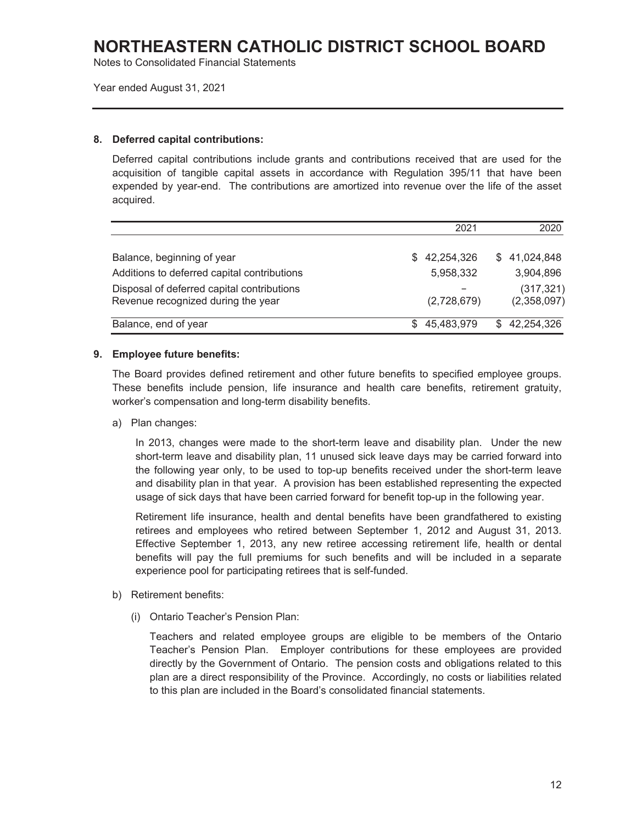Notes to Consolidated Financial Statements

Year ended August 31, 2021

#### **8. Deferred capital contributions:**

Deferred capital contributions include grants and contributions received that are used for the acquisition of tangible capital assets in accordance with Regulation 395/11 that have been expended by year-end. The contributions are amortized into revenue over the life of the asset acquired.

|                                             |     | 2021        |    | 2020         |
|---------------------------------------------|-----|-------------|----|--------------|
|                                             |     |             |    |              |
| Balance, beginning of year                  | SS. | 42,254,326  |    | \$41,024,848 |
| Additions to deferred capital contributions |     | 5,958,332   |    | 3.904.896    |
| Disposal of deferred capital contributions  |     |             |    | (317, 321)   |
| Revenue recognized during the year          |     | (2,728,679) |    | (2,358,097)  |
| Balance, end of year                        | SS. | 45,483,979  | £. | 42,254,326   |

### **9. Employee future benefits:**

The Board provides defined retirement and other future benefits to specified employee groups. These benefits include pension, life insurance and health care benefits, retirement gratuity, worker's compensation and long-term disability benefits.

a) Plan changes:

In 2013, changes were made to the short-term leave and disability plan. Under the new short-term leave and disability plan, 11 unused sick leave days may be carried forward into the following year only, to be used to top-up benefits received under the short-term leave and disability plan in that year. A provision has been established representing the expected usage of sick days that have been carried forward for benefit top-up in the following year.

Retirement life insurance, health and dental benefits have been grandfathered to existing retirees and employees who retired between September 1, 2012 and August 31, 2013. Effective September 1, 2013, any new retiree accessing retirement life, health or dental benefits will pay the full premiums for such benefits and will be included in a separate experience pool for participating retirees that is self-funded.

- b) Retirement benefits:
	- (i) Ontario Teacher's Pension Plan:

Teachers and related employee groups are eligible to be members of the Ontario Teacher's Pension Plan. Employer contributions for these employees are provided directly by the Government of Ontario. The pension costs and obligations related to this plan are a direct responsibility of the Province. Accordingly, no costs or liabilities related to this plan are included in the Board's consolidated financial statements.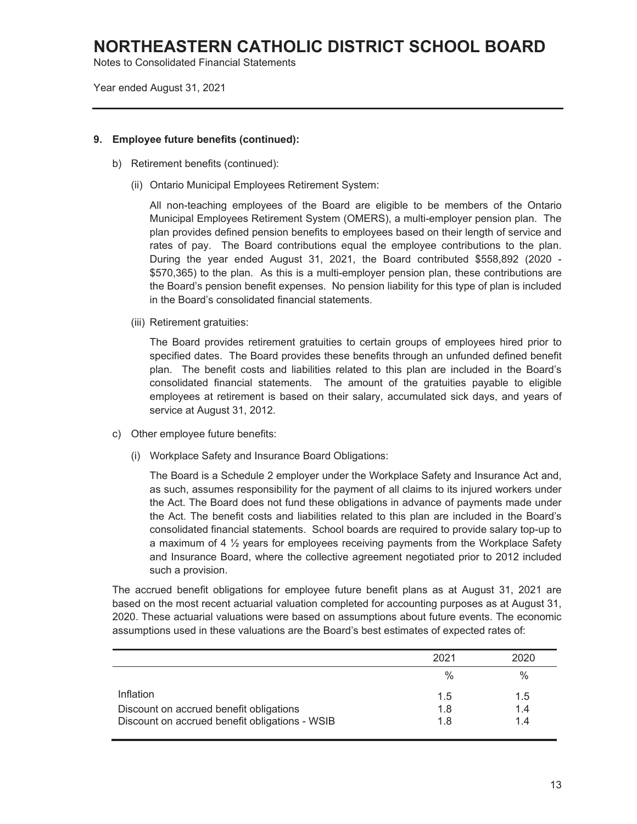Notes to Consolidated Financial Statements

Year ended August 31, 2021

#### **9. Employee future benefits (continued):**

- b) Retirement benefits (continued):
	- (ii) Ontario Municipal Employees Retirement System:

All non-teaching employees of the Board are eligible to be members of the Ontario Municipal Employees Retirement System (OMERS), a multi-employer pension plan. The plan provides defined pension benefits to employees based on their length of service and rates of pay. The Board contributions equal the employee contributions to the plan. During the year ended August 31, 2021, the Board contributed \$558,892 (2020 - \$570,365) to the plan. As this is a multi-employer pension plan, these contributions are the Board's pension benefit expenses. No pension liability for this type of plan is included in the Board's consolidated financial statements.

(iii) Retirement gratuities:

The Board provides retirement gratuities to certain groups of employees hired prior to specified dates. The Board provides these benefits through an unfunded defined benefit plan. The benefit costs and liabilities related to this plan are included in the Board's consolidated financial statements. The amount of the gratuities payable to eligible employees at retirement is based on their salary, accumulated sick days, and years of service at August 31, 2012.

- c) Other employee future benefits:
	- (i) Workplace Safety and Insurance Board Obligations:

The Board is a Schedule 2 employer under the Workplace Safety and Insurance Act and, as such, assumes responsibility for the payment of all claims to its injured workers under the Act. The Board does not fund these obligations in advance of payments made under the Act. The benefit costs and liabilities related to this plan are included in the Board's consolidated financial statements. School boards are required to provide salary top-up to a maximum of 4 ½ years for employees receiving payments from the Workplace Safety and Insurance Board, where the collective agreement negotiated prior to 2012 included such a provision.

The accrued benefit obligations for employee future benefit plans as at August 31, 2021 are based on the most recent actuarial valuation completed for accounting purposes as at August 31, 2020. These actuarial valuations were based on assumptions about future events. The economic assumptions used in these valuations are the Board's best estimates of expected rates of:

|                                                | 2021 | 2020 |
|------------------------------------------------|------|------|
|                                                | %    | $\%$ |
| Inflation                                      | 1.5  | 1.5  |
| Discount on accrued benefit obligations        | 1.8  | 1.4  |
| Discount on accrued benefit obligations - WSIB | 1.8  | 14   |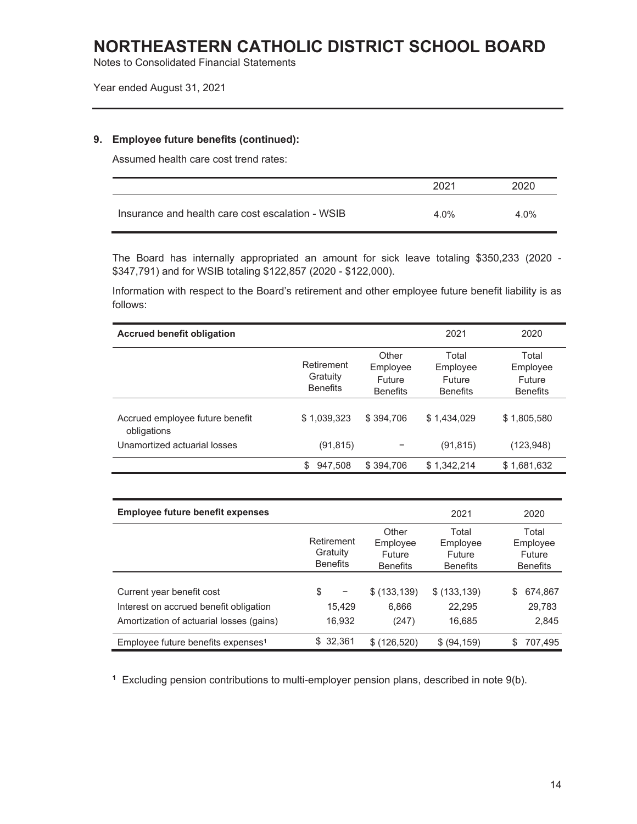Notes to Consolidated Financial Statements

Year ended August 31, 2021

### **9. Employee future benefits (continued):**

Assumed health care cost trend rates:

|                                                  | 2021    | 2020 |
|--------------------------------------------------|---------|------|
| Insurance and health care cost escalation - WSIB | $4.0\%$ | 4.0% |

The Board has internally appropriated an amount for sick leave totaling \$350,233 (2020 - \$347,791) and for WSIB totaling \$122,857 (2020 - \$122,000).

Information with respect to the Board's retirement and other employee future benefit liability is as follows:

| <b>Accrued benefit obligation</b>                                              |                                           |                                                | 2021                                                  | 2020                                           |
|--------------------------------------------------------------------------------|-------------------------------------------|------------------------------------------------|-------------------------------------------------------|------------------------------------------------|
|                                                                                | Retirement<br>Gratuity<br><b>Benefits</b> | Other<br>Employee<br>Future<br><b>Benefits</b> | Total<br>Employee<br><b>Future</b><br><b>Benefits</b> | Total<br>Employee<br>Future<br><b>Benefits</b> |
| Accrued employee future benefit<br>obligations<br>Unamortized actuarial losses | \$1,039,323<br>(91, 815)                  | \$394,706                                      | \$1,434,029<br>(91, 815)                              | \$1,805,580<br>(123,948)                       |
|                                                                                | \$<br>947.508                             | \$394,706                                      | \$1,342,214                                           | \$1,681,632                                    |

| <b>Employee future benefit expenses</b>        |                                           |                                                | 2021                                           | 2020                                           |
|------------------------------------------------|-------------------------------------------|------------------------------------------------|------------------------------------------------|------------------------------------------------|
|                                                | Retirement<br>Gratuity<br><b>Benefits</b> | Other<br>Employee<br>Future<br><b>Benefits</b> | Total<br>Employee<br>Future<br><b>Benefits</b> | Total<br>Employee<br>Future<br><b>Benefits</b> |
| Current year benefit cost                      | \$<br>-                                   | \$(133, 139)                                   | \$(133, 139)                                   | 674,867<br>\$                                  |
| Interest on accrued benefit obligation         | 15,429                                    | 6.866                                          | 22,295                                         | 29,783                                         |
| Amortization of actuarial losses (gains)       | 16,932                                    | (247)                                          | 16,685                                         | 2,845                                          |
| Employee future benefits expenses <sup>1</sup> | \$32,361                                  | \$(126,520)                                    | \$ (94, 159)                                   | 707,495                                        |

**1** Excluding pension contributions to multi-employer pension plans, described in note 9(b).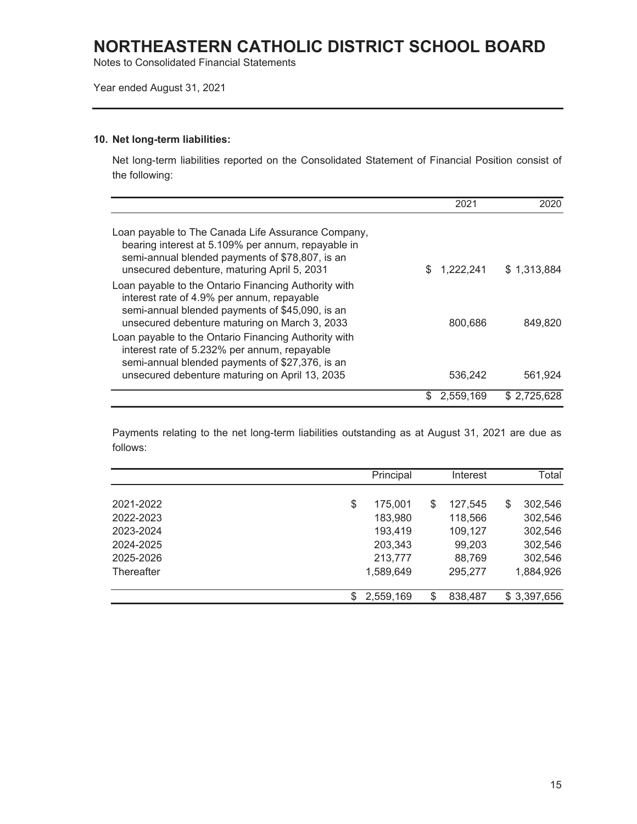Notes to Consolidated Financial Statements

Year ended August 31, 2021

### **10. Net long-term liabilities:**

Net long-term liabilities reported on the Consolidated Statement of Financial Position consist of the following:

|                                                                                                                                                                                                            | 2021           | 2020        |
|------------------------------------------------------------------------------------------------------------------------------------------------------------------------------------------------------------|----------------|-------------|
| Loan payable to The Canada Life Assurance Company,<br>bearing interest at 5.109% per annum, repayable in<br>semi-annual blended payments of \$78,807, is an<br>unsecured debenture, maturing April 5, 2031 | 1,222,241<br>S | \$1,313,884 |
| Loan payable to the Ontario Financing Authority with<br>interest rate of 4.9% per annum, repayable<br>semi-annual blended payments of \$45,090, is an<br>unsecured debenture maturing on March 3, 2033     | 800,686        | 849.820     |
| Loan payable to the Ontario Financing Authority with<br>interest rate of 5.232% per annum, repayable<br>semi-annual blended payments of \$27,376, is an<br>unsecured debenture maturing on April 13, 2035  | 536,242        | 561,924     |
|                                                                                                                                                                                                            | 2.559.169<br>S | \$2.725.628 |

Payments relating to the net long-term liabilities outstanding as at August 31, 2021 are due as follows:

|            | Principal     |   | Interest |   | Total       |
|------------|---------------|---|----------|---|-------------|
|            |               |   |          |   |             |
| 2021-2022  | \$<br>175.001 | S | 127.545  | S | 302,546     |
| 2022-2023  | 183,980       |   | 118,566  |   | 302,546     |
| 2023-2024  | 193,419       |   | 109,127  |   | 302,546     |
| 2024-2025  | 203,343       |   | 99,203   |   | 302,546     |
| 2025-2026  | 213,777       |   | 88,769   |   | 302,546     |
| Thereafter | 1,589,649     |   | 295,277  |   | 1,884,926   |
|            |               |   |          |   |             |
|            | 2,559,169     |   | 838,487  |   | \$3,397,656 |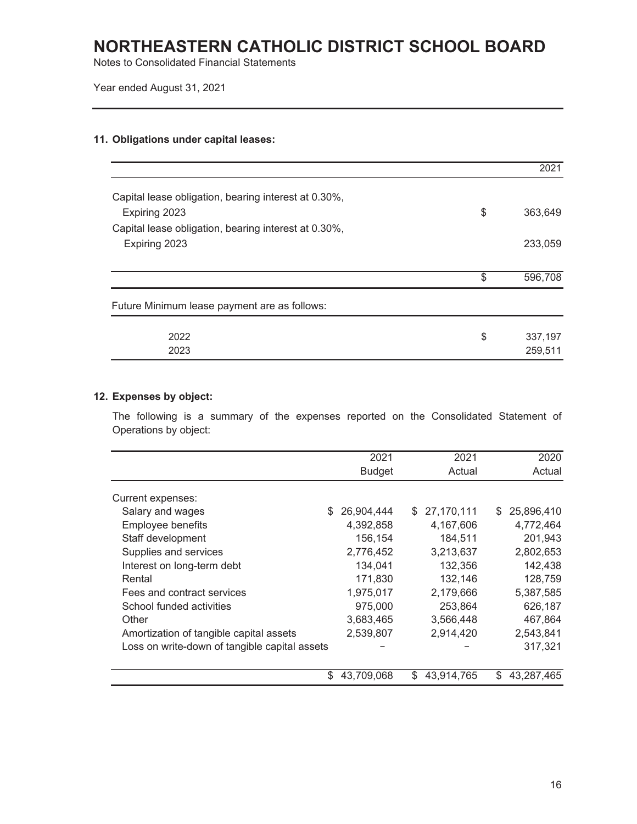Notes to Consolidated Financial Statements

Year ended August 31, 2021

### **11. Obligations under capital leases:**

|                                                      | 2021          |
|------------------------------------------------------|---------------|
| Capital lease obligation, bearing interest at 0.30%, |               |
| Expiring 2023                                        | \$<br>363,649 |
| Capital lease obligation, bearing interest at 0.30%, |               |
| Expiring 2023                                        | 233,059       |
|                                                      |               |
|                                                      | \$<br>596,708 |
| Future Minimum lease payment are as follows:         |               |
| 2022                                                 | \$<br>337,197 |
| 2023                                                 | 259,511       |

### **12. Expenses by object:**

The following is a summary of the expenses reported on the Consolidated Statement of Operations by object:

|                                               | 2021          | 2021             | 2020             |
|-----------------------------------------------|---------------|------------------|------------------|
|                                               | <b>Budget</b> | Actual           | Actual           |
| Current expenses:                             |               |                  |                  |
| Salary and wages<br>\$                        | 26,904,444    | 27,170,111<br>\$ | 25,896,410<br>\$ |
| Employee benefits                             | 4,392,858     | 4,167,606        | 4,772,464        |
| Staff development                             | 156,154       | 184,511          | 201,943          |
| Supplies and services                         | 2,776,452     | 3,213,637        | 2,802,653        |
| Interest on long-term debt                    | 134,041       | 132,356          | 142,438          |
| Rental                                        | 171,830       | 132,146          | 128,759          |
| Fees and contract services                    | 1,975,017     | 2,179,666        | 5,387,585        |
| School funded activities                      | 975,000       | 253,864          | 626,187          |
| Other                                         | 3,683,465     | 3,566,448        | 467,864          |
| Amortization of tangible capital assets       | 2,539,807     | 2,914,420        | 2,543,841        |
| Loss on write-down of tangible capital assets |               |                  | 317,321          |
| \$                                            | 43,709,068    | 43,914,765<br>\$ | 43,287,465<br>\$ |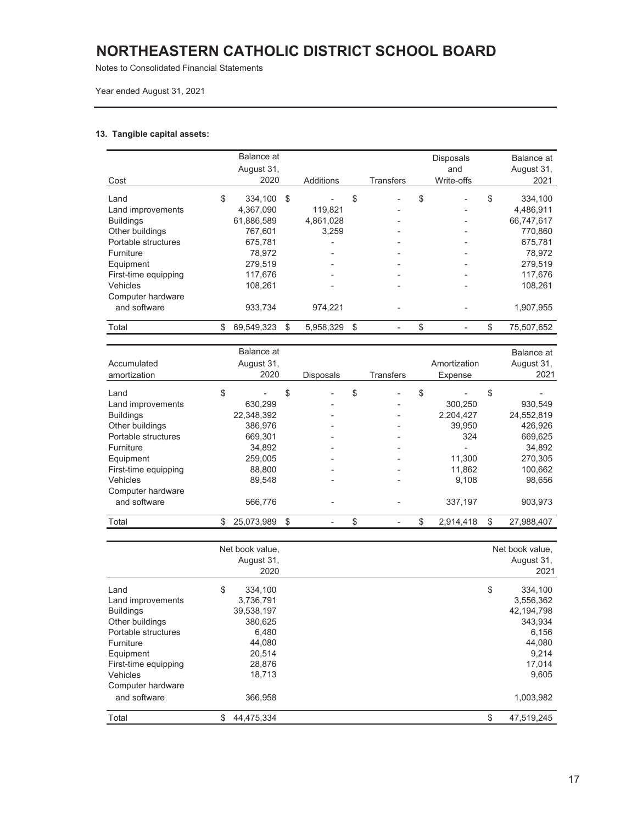Notes to Consolidated Financial Statements

### **13. Tangible capital assets:**

| Cost                 | Balance at<br>August 31,<br>2020 | Additions       | <b>Transfers</b> | <b>Disposals</b><br>and<br>Write-offs | Balance at<br>August 31,<br>2021 |
|----------------------|----------------------------------|-----------------|------------------|---------------------------------------|----------------------------------|
| Land                 | \$<br>334,100 \$                 |                 | \$               | \$                                    | \$<br>334.100                    |
| Land improvements    | 4.367.090                        | 119.821         |                  |                                       | 4,486,911                        |
| <b>Buildings</b>     | 61,886,589                       | 4,861,028       |                  |                                       | 66,747,617                       |
| Other buildings      | 767.601                          | 3.259           |                  |                                       | 770.860                          |
| Portable structures  | 675.781                          |                 |                  |                                       | 675.781                          |
| Furniture            | 78,972                           |                 |                  |                                       | 78.972                           |
| Equipment            | 279.519                          |                 |                  |                                       | 279.519                          |
| First-time equipping | 117.676                          |                 |                  |                                       | 117.676                          |
| <b>Vehicles</b>      | 108.261                          | ۰               |                  |                                       | 108.261                          |
| Computer hardware    |                                  |                 |                  |                                       |                                  |
| and software         | 933.734                          | 974.221         |                  |                                       | 1.907.955                        |
| Total                | \$<br>69,549,323                 | \$<br>5,958,329 | \$               | \$                                    | 75,507,652                       |

|                      | Balance at       |                  |                  |                 | Balance at       |
|----------------------|------------------|------------------|------------------|-----------------|------------------|
| Accumulated          | August 31,       |                  |                  | Amortization    | August 31,       |
| amortization         | 2020             | <b>Disposals</b> | <b>Transfers</b> | Expense         | 2021             |
| Land                 | \$               | \$               | \$               | \$              | \$               |
| Land improvements    | 630,299          |                  |                  | 300,250         | 930,549          |
| <b>Buildings</b>     | 22,348,392       |                  |                  | 2,204,427       | 24,552,819       |
| Other buildings      | 386,976          |                  |                  | 39,950          | 426,926          |
| Portable structures  | 669,301          |                  |                  | 324             | 669,625          |
| Furniture            | 34.892           |                  |                  |                 | 34,892           |
| Equipment            | 259,005          |                  |                  | 11,300          | 270,305          |
| First-time equipping | 88.800           |                  |                  | 11,862          | 100,662          |
| Vehicles             | 89,548           |                  |                  | 9.108           | 98,656           |
| Computer hardware    |                  |                  |                  |                 |                  |
| and software         | 566,776          |                  |                  | 337.197         | 903,973          |
| Total                | \$<br>25,073,989 | \$               |                  | \$<br>2.914.418 | \$<br>27.988.407 |

|                      | Net book value,  | Net book value,  |  |  |  |  |  |  |
|----------------------|------------------|------------------|--|--|--|--|--|--|
|                      | August 31,       | August 31,       |  |  |  |  |  |  |
|                      | 2020             | 2021             |  |  |  |  |  |  |
| Land                 | \$<br>334,100    | \$<br>334,100    |  |  |  |  |  |  |
| Land improvements    | 3,736,791        | 3,556,362        |  |  |  |  |  |  |
| <b>Buildings</b>     | 39,538,197       | 42,194,798       |  |  |  |  |  |  |
| Other buildings      | 380,625          | 343,934          |  |  |  |  |  |  |
| Portable structures  | 6,480            | 6,156            |  |  |  |  |  |  |
| Furniture            | 44,080           | 44,080           |  |  |  |  |  |  |
| Equipment            | 20,514           | 9.214            |  |  |  |  |  |  |
| First-time equipping | 28,876           | 17,014           |  |  |  |  |  |  |
| Vehicles             | 18,713           | 9,605            |  |  |  |  |  |  |
| Computer hardware    |                  |                  |  |  |  |  |  |  |
| and software         | 366.958          | 1,003,982        |  |  |  |  |  |  |
| Total                | 44,475,334<br>\$ | \$<br>47.519.245 |  |  |  |  |  |  |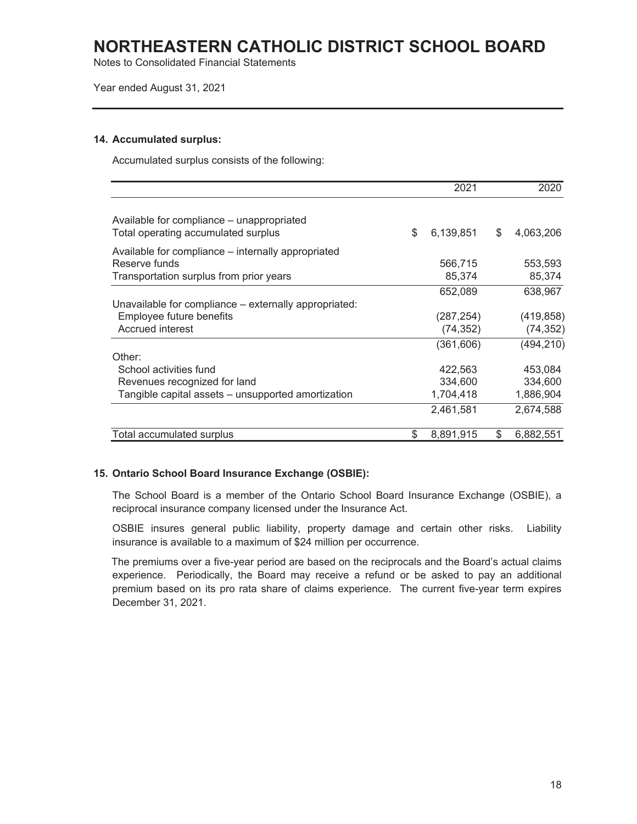Notes to Consolidated Financial Statements

Year ended August 31, 2021

#### **14. Accumulated surplus:**

Accumulated surplus consists of the following:

|                                                                                                                        |    | 2021                                         | 2020                                          |
|------------------------------------------------------------------------------------------------------------------------|----|----------------------------------------------|-----------------------------------------------|
| Available for compliance – unappropriated<br>Total operating accumulated surplus                                       | \$ | 6,139,851                                    | \$<br>4,063,206                               |
| Available for compliance – internally appropriated<br>Reserve funds<br>Transportation surplus from prior years         |    | 566,715<br>85,374                            | 553,593<br>85,374                             |
| Unavailable for compliance - externally appropriated:<br>Employee future benefits<br>Accrued interest                  |    | 652,089<br>(287, 254)<br>(74,352)            | 638,967<br>(419, 858)<br>(74, 352)            |
| Other:<br>School activities fund<br>Revenues recognized for land<br>Tangible capital assets - unsupported amortization |    | (361,606)<br>422,563<br>334,600<br>1,704,418 | (494, 210)<br>453,084<br>334,600<br>1,886,904 |
| Total accumulated surplus                                                                                              | S  | 2,461,581<br>8,891,915                       | \$<br>2,674,588<br>6,882,551                  |

#### **15. Ontario School Board Insurance Exchange (OSBIE):**

The School Board is a member of the Ontario School Board Insurance Exchange (OSBIE), a reciprocal insurance company licensed under the Insurance Act.

OSBIE insures general public liability, property damage and certain other risks. Liability insurance is available to a maximum of \$24 million per occurrence.

The premiums over a five-year period are based on the reciprocals and the Board's actual claims experience. Periodically, the Board may receive a refund or be asked to pay an additional premium based on its pro rata share of claims experience. The current five-year term expires December 31, 2021.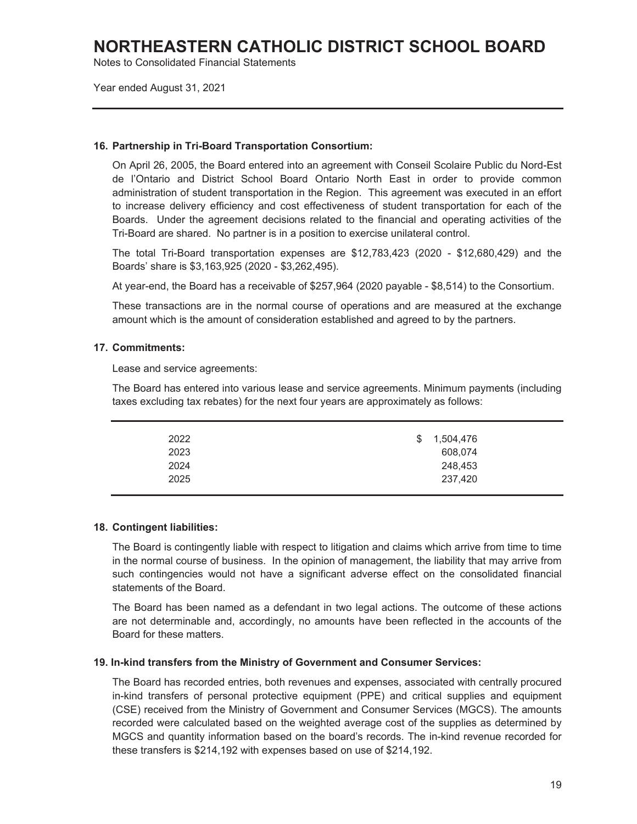Notes to Consolidated Financial Statements

Year ended August 31, 2021

#### **16. Partnership in Tri-Board Transportation Consortium:**

On April 26, 2005, the Board entered into an agreement with Conseil Scolaire Public du Nord-Est de l'Ontario and District School Board Ontario North East in order to provide common administration of student transportation in the Region. This agreement was executed in an effort to increase delivery efficiency and cost effectiveness of student transportation for each of the Boards. Under the agreement decisions related to the financial and operating activities of the Tri-Board are shared. No partner is in a position to exercise unilateral control.

The total Tri-Board transportation expenses are \$12,783,423 (2020 - \$12,680,429) and the Boards' share is \$3,163,925 (2020 - \$3,262,495).

At year-end, the Board has a receivable of \$257,964 (2020 payable - \$8,514) to the Consortium.

These transactions are in the normal course of operations and are measured at the exchange amount which is the amount of consideration established and agreed to by the partners.

### **17. Commitments:**

Lease and service agreements:

The Board has entered into various lease and service agreements. Minimum payments (including taxes excluding tax rebates) for the next four years are approximately as follows:

| 2022 | 1,504,476<br>$\mathbb{S}$ |
|------|---------------------------|
| 2023 | 608,074                   |
| 2024 | 248,453                   |
| 2025 | 237,420                   |
|      |                           |

#### **18. Contingent liabilities:**

The Board is contingently liable with respect to litigation and claims which arrive from time to time in the normal course of business. In the opinion of management, the liability that may arrive from such contingencies would not have a significant adverse effect on the consolidated financial statements of the Board.

The Board has been named as a defendant in two legal actions. The outcome of these actions are not determinable and, accordingly, no amounts have been reflected in the accounts of the Board for these matters.

#### **19. In-kind transfers from the Ministry of Government and Consumer Services:**

The Board has recorded entries, both revenues and expenses, associated with centrally procured in-kind transfers of personal protective equipment (PPE) and critical supplies and equipment (CSE) received from the Ministry of Government and Consumer Services (MGCS). The amounts recorded were calculated based on the weighted average cost of the supplies as determined by MGCS and quantity information based on the board's records. The in-kind revenue recorded for these transfers is \$214,192 with expenses based on use of \$214,192.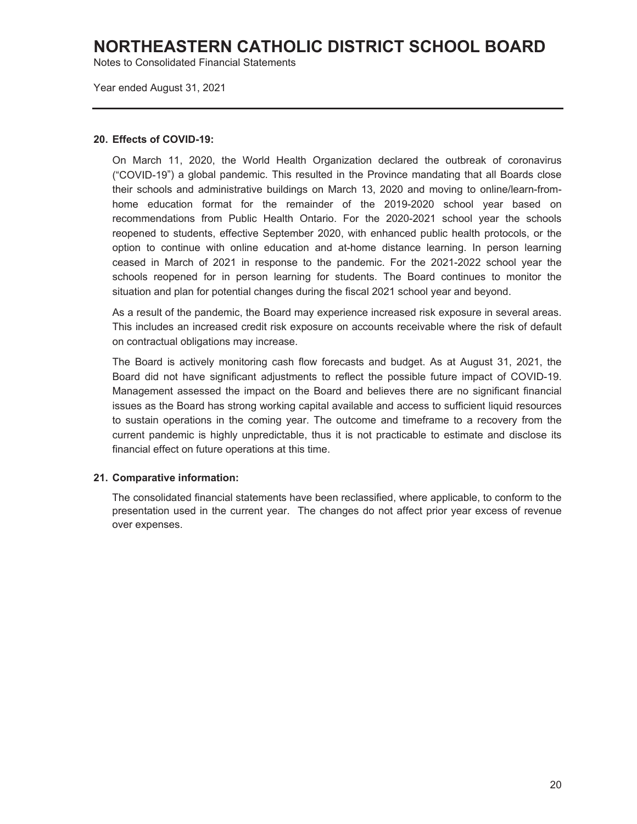Notes to Consolidated Financial Statements

Year ended August 31, 2021

#### **20. Effects of COVID-19:**

On March 11, 2020, the World Health Organization declared the outbreak of coronavirus ("COVID-19") a global pandemic. This resulted in the Province mandating that all Boards close their schools and administrative buildings on March 13, 2020 and moving to online/learn-fromhome education format for the remainder of the 2019-2020 school year based on recommendations from Public Health Ontario. For the 2020-2021 school year the schools reopened to students, effective September 2020, with enhanced public health protocols, or the option to continue with online education and at-home distance learning. In person learning ceased in March of 2021 in response to the pandemic. For the 2021-2022 school year the schools reopened for in person learning for students. The Board continues to monitor the situation and plan for potential changes during the fiscal 2021 school year and beyond.

As a result of the pandemic, the Board may experience increased risk exposure in several areas. This includes an increased credit risk exposure on accounts receivable where the risk of default on contractual obligations may increase.

The Board is actively monitoring cash flow forecasts and budget. As at August 31, 2021, the Board did not have significant adjustments to reflect the possible future impact of COVID-19. Management assessed the impact on the Board and believes there are no significant financial issues as the Board has strong working capital available and access to sufficient liquid resources to sustain operations in the coming year. The outcome and timeframe to a recovery from the current pandemic is highly unpredictable, thus it is not practicable to estimate and disclose its financial effect on future operations at this time.

### **21. Comparative information:**

The consolidated financial statements have been reclassified, where applicable, to conform to the presentation used in the current year. The changes do not affect prior year excess of revenue over expenses.